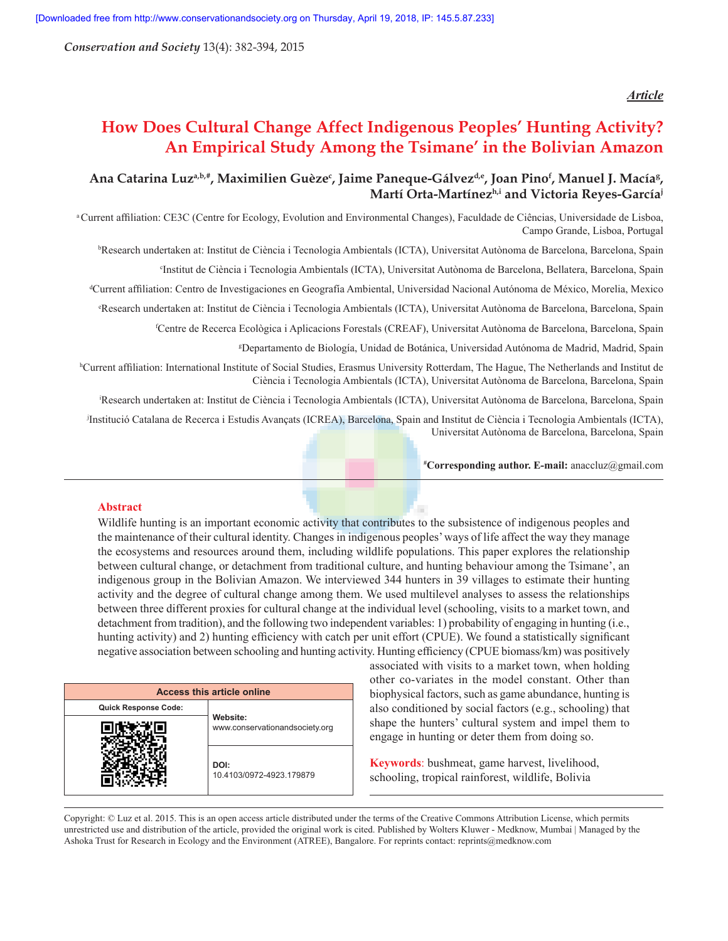*Conservation and Society* 13(4): 382-394, 2015

### *Article*

# **How Does Cultural Change Affect Indigenous Peoples' Hunting Activity? An Empirical Study Among the Tsimane' in the Bolivian Amazon**

# Ana Catarina Luz<sup>a,b,#</sup>, Maximilien Guèze<sup>c</sup>, Jaime Paneque-Gálvez<sup>d,e</sup>, Joan Pino<sup>f</sup>, Manuel J. Macía<sup>g</sup>, **Martí Orta-Martínezh,i and Victoria Reyes-Garcíaj**

<sup>a</sup> Current affiliation: CE3C (Centre for Ecology, Evolution and Environmental Changes), Faculdade de Ciências, Universidade de Lisboa, Campo Grande, Lisboa, Portugal

b Research undertaken at: Institut de Ciència i Tecnologia Ambientals (ICTA), Universitat Autònoma de Barcelona, Barcelona, Spain

c Institut de Ciència i Tecnologia Ambientals (ICTA), Universitat Autònoma de Barcelona, Bellatera, Barcelona, Spain

d Current affiliation: Centro de Investigaciones en Geografía Ambiental, Universidad Nacional Autónoma de México, Morelia, Mexico

e Research undertaken at: Institut de Ciència i Tecnologia Ambientals (ICTA), Universitat Autònoma de Barcelona, Barcelona, Spain

f Centre de Recerca Ecològica i Aplicacions Forestals (CREAF), Universitat Autònoma de Barcelona, Barcelona, Spain

g Departamento de Biología, Unidad de Botánica, Universidad Autónoma de Madrid, Madrid, Spain

h Current affiliation: International Institute of Social Studies, Erasmus University Rotterdam, The Hague, The Netherlands and Institut de Ciència i Tecnologia Ambientals (ICTA), Universitat Autònoma de Barcelona, Barcelona, Spain

i Research undertaken at: Institut de Ciència i Tecnologia Ambientals (ICTA), Universitat Autònoma de Barcelona, Barcelona, Spain

j Institució Catalana de Recerca i Estudis Avançats (ICREA), Barcelona, Spain and Institut de Ciència i Tecnologia Ambientals (ICTA), Universitat Autònoma de Barcelona, Barcelona, Spain

**# Corresponding author. E-mail:** anaccluz@gmail.com

### **Abstract**

Wildlife hunting is an important economic activity that contributes to the subsistence of indigenous peoples and the maintenance of their cultural identity. Changes in indigenous peoples' ways of life affect the way they manage the ecosystems and resources around them, including wildlife populations. This paper explores the relationship between cultural change, or detachment from traditional culture, and hunting behaviour among the Tsimane', an indigenous group in the Bolivian Amazon. We interviewed 344 hunters in 39 villages to estimate their hunting activity and the degree of cultural change among them. We used multilevel analyses to assess the relationships between three different proxies for cultural change at the individual level (schooling, visits to a market town, and detachment from tradition), and the following two independent variables: 1) probability of engaging in hunting (i.e., hunting activity) and 2) hunting efficiency with catch per unit effort (CPUE). We found a statistically significant negative association between schooling and hunting activity. Hunting efficiency (CPUE biomass/km) was positively

| <b>Access this article online</b> |                                            |  |  |  |  |  |
|-----------------------------------|--------------------------------------------|--|--|--|--|--|
| <b>Quick Response Code:</b>       |                                            |  |  |  |  |  |
|                                   | Website:<br>www.conservationandsociety.org |  |  |  |  |  |
|                                   | DOI:<br>10.4103/0972-4923.179879           |  |  |  |  |  |

associated with visits to a market town, when holding other co-variates in the model constant. Other than biophysical factors, such as game abundance, hunting is also conditioned by social factors (e.g., schooling) that shape the hunters' cultural system and impel them to engage in hunting or deter them from doing so.

**Keywords**: bushmeat, game harvest, livelihood, schooling, tropical rainforest, wildlife, Bolivia

Copyright: © Luz et al. 2015. This is an open access article distributed under the terms of the Creative Commons Attribution License, which permits unrestricted use and distribution of the article, provided the original work is cited. Published by Wolters Kluwer - Medknow, Mumbai | Managed by the Ashoka Trust for Research in Ecology and the Environment (ATREE), Bangalore. For reprints contact: reprints@medknow.com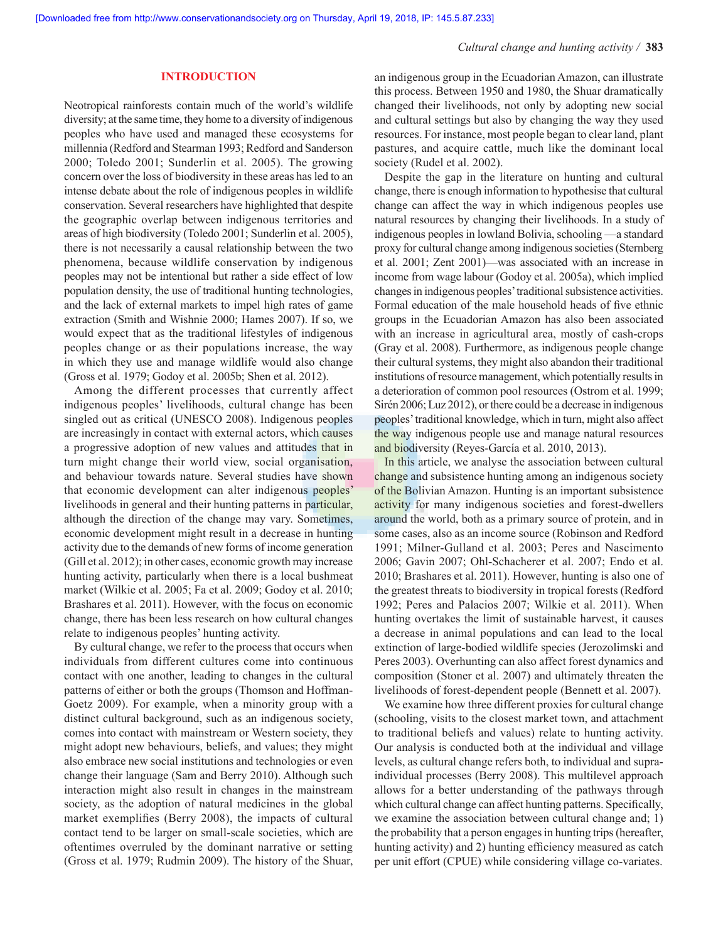# **INTRODUCTION**

Neotropical rainforests contain much of the world's wildlife diversity; at the same time, they home to a diversity of indigenous peoples who have used and managed these ecosystems for millennia (Redford and Stearman 1993; Redford and Sanderson 2000; Toledo 2001; Sunderlin et al. 2005). The growing concern over the loss of biodiversity in these areas has led to an intense debate about the role of indigenous peoples in wildlife conservation. Several researchers have highlighted that despite the geographic overlap between indigenous territories and areas of high biodiversity (Toledo 2001; Sunderlin et al. 2005), there is not necessarily a causal relationship between the two phenomena, because wildlife conservation by indigenous peoples may not be intentional but rather a side effect of low population density, the use of traditional hunting technologies, and the lack of external markets to impel high rates of game extraction (Smith and Wishnie 2000; Hames 2007). If so, we would expect that as the traditional lifestyles of indigenous peoples change or as their populations increase, the way in which they use and manage wildlife would also change (Gross et al. 1979; Godoy et al. 2005b; Shen et al. 2012).

Among the different processes that currently affect indigenous peoples' livelihoods, cultural change has been singled out as critical (UNESCO 2008). Indigenous peoples are increasingly in contact with external actors, which causes a progressive adoption of new values and attitudes that in turn might change their world view, social organisation, and behaviour towards nature. Several studies have shown that economic development can alter indigenous peoples' livelihoods in general and their hunting patterns in particular, although the direction of the change may vary. Sometimes, economic development might result in a decrease in hunting activity due to the demands of new forms of income generation (Gill et al. 2012); in other cases, economic growth may increase hunting activity, particularly when there is a local bushmeat market (Wilkie et al. 2005; Fa et al. 2009; Godoy et al. 2010; Brashares et al. 2011). However, with the focus on economic change, there has been less research on how cultural changes relate to indigenous peoples' hunting activity.

By cultural change, we refer to the process that occurs when individuals from different cultures come into continuous contact with one another, leading to changes in the cultural patterns of either or both the groups (Thomson and Hoffman-Goetz 2009). For example, when a minority group with a distinct cultural background, such as an indigenous society, comes into contact with mainstream or Western society, they might adopt new behaviours, beliefs, and values; they might also embrace new social institutions and technologies or even change their language (Sam and Berry 2010). Although such interaction might also result in changes in the mainstream society, as the adoption of natural medicines in the global market exemplifies (Berry 2008), the impacts of cultural contact tend to be larger on small-scale societies, which are oftentimes overruled by the dominant narrative or setting (Gross et al. 1979; Rudmin 2009). The history of the Shuar, an indigenous group in the Ecuadorian Amazon, can illustrate this process. Between 1950 and 1980, the Shuar dramatically changed their livelihoods, not only by adopting new social and cultural settings but also by changing the way they used resources. For instance, most people began to clear land, plant pastures, and acquire cattle, much like the dominant local society (Rudel et al. 2002).

Despite the gap in the literature on hunting and cultural change, there is enough information to hypothesise that cultural change can affect the way in which indigenous peoples use natural resources by changing their livelihoods. In a study of indigenous peoples in lowland Bolivia, schooling —a standard proxy for cultural change among indigenous societies (Sternberg et al. 2001; Zent 2001)—was associated with an increase in income from wage labour (Godoy et al. 2005a), which implied changes in indigenous peoples' traditional subsistence activities. Formal education of the male household heads of five ethnic groups in the Ecuadorian Amazon has also been associated with an increase in agricultural area, mostly of cash-crops (Gray et al. 2008). Furthermore, as indigenous people change their cultural systems, they might also abandon their traditional institutions of resource management, which potentially results in a deterioration of common pool resources (Ostrom et al. 1999; Sirén 2006; Luz 2012), or there could be a decrease in indigenous peoples' traditional knowledge, which in turn, might also affect the way indigenous people use and manage natural resources and biodiversity (Reyes-García et al. 2010, 2013).

In this article, we analyse the association between cultural change and subsistence hunting among an indigenous society of the Bolivian Amazon. Hunting is an important subsistence activity for many indigenous societies and forest-dwellers around the world, both as a primary source of protein, and in some cases, also as an income source (Robinson and Redford 1991; Milner-Gulland et al. 2003; Peres and Nascimento 2006; Gavin 2007; Ohl-Schacherer et al. 2007; Endo et al. 2010; Brashares et al. 2011). However, hunting is also one of the greatest threats to biodiversity in tropical forests (Redford 1992; Peres and Palacios 2007; Wilkie et al. 2011). When hunting overtakes the limit of sustainable harvest, it causes a decrease in animal populations and can lead to the local extinction of large-bodied wildlife species (Jerozolimski and Peres 2003). Overhunting can also affect forest dynamics and composition (Stoner et al. 2007) and ultimately threaten the livelihoods of forest-dependent people (Bennett et al. 2007).

We examine how three different proxies for cultural change (schooling, visits to the closest market town, and attachment to traditional beliefs and values) relate to hunting activity. Our analysis is conducted both at the individual and village levels, as cultural change refers both, to individual and supraindividual processes (Berry 2008). This multilevel approach allows for a better understanding of the pathways through which cultural change can affect hunting patterns. Specifically, we examine the association between cultural change and; 1) the probability that a person engages in hunting trips (hereafter, hunting activity) and 2) hunting efficiency measured as catch per unit effort (CPUE) while considering village co-variates.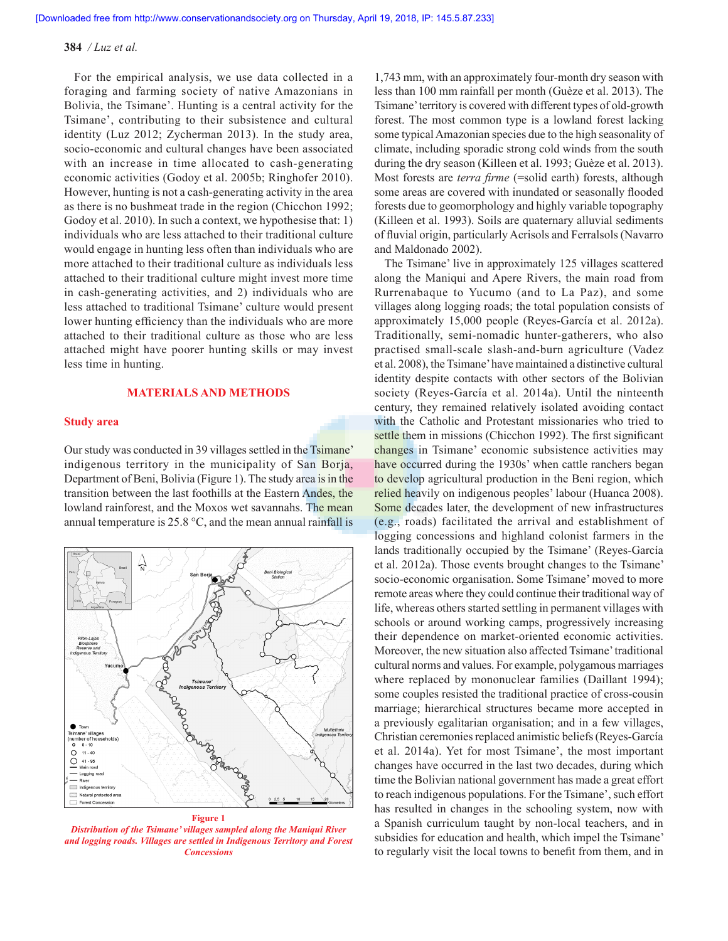For the empirical analysis, we use data collected in a foraging and farming society of native Amazonians in Bolivia, the Tsimane'. Hunting is a central activity for the Tsimane', contributing to their subsistence and cultural identity (Luz 2012; Zycherman 2013). In the study area, socio-economic and cultural changes have been associated with an increase in time allocated to cash-generating economic activities (Godoy et al. 2005b; Ringhofer 2010). However, hunting is not a cash-generating activity in the area as there is no bushmeat trade in the region (Chicchon 1992; Godoy et al. 2010). In such a context, we hypothesise that: 1) individuals who are less attached to their traditional culture would engage in hunting less often than individuals who are more attached to their traditional culture as individuals less attached to their traditional culture might invest more time in cash-generating activities, and 2) individuals who are less attached to traditional Tsimane' culture would present lower hunting efficiency than the individuals who are more attached to their traditional culture as those who are less attached might have poorer hunting skills or may invest less time in hunting.

# **MATERIALS AND METHODS**

### **Study area**

Our study was conducted in 39 villages settled in the Tsimane' indigenous territory in the municipality of San Borja, Department of Beni, Bolivia (Figure 1). The study area is in the transition between the last foothills at the Eastern Andes, the lowland rainforest, and the Moxos wet savannahs. The mean annual temperature is 25.8 °C, and the mean annual rainfall is



**Figure 1**

*Distribution of the Tsimane' villages sampled along the Maniqui River and logging roads. Villages are settled in Indigenous Territory and Forest Concessions*

1,743 mm, with an approximately four-month dry season with less than 100 mm rainfall per month (Guèze et al. 2013). The Tsimane' territory is covered with different types of old-growth forest. The most common type is a lowland forest lacking some typical Amazonian species due to the high seasonality of climate, including sporadic strong cold winds from the south during the dry season (Killeen et al. 1993; Guèze et al. 2013). Most forests are *terra firme* (=solid earth) forests, although some areas are covered with inundated or seasonally flooded forests due to geomorphology and highly variable topography (Killeen et al. 1993). Soils are quaternary alluvial sediments of fluvial origin, particularly Acrisols and Ferralsols (Navarro and Maldonado 2002).

The Tsimane' live in approximately 125 villages scattered along the Maniqui and Apere Rivers, the main road from Rurrenabaque to Yucumo (and to La Paz), and some villages along logging roads; the total population consists of approximately 15,000 people (Reyes-García et al. 2012a). Traditionally, semi-nomadic hunter-gatherers, who also practised small-scale slash-and-burn agriculture (Vadez et al. 2008), the Tsimane' have maintained a distinctive cultural identity despite contacts with other sectors of the Bolivian society (Reyes-García et al. 2014a). Until the ninteenth century, they remained relatively isolated avoiding contact with the Catholic and Protestant missionaries who tried to settle them in missions (Chicchon 1992). The first significant changes in Tsimane' economic subsistence activities may have occurred during the 1930s' when cattle ranchers began to develop agricultural production in the Beni region, which relied heavily on indigenous peoples' labour (Huanca 2008). Some decades later, the development of new infrastructures (e.g., roads) facilitated the arrival and establishment of logging concessions and highland colonist farmers in the lands traditionally occupied by the Tsimane' (Reyes-García et al. 2012a). Those events brought changes to the Tsimane' socio-economic organisation. Some Tsimane' moved to more remote areas where they could continue their traditional way of life, whereas others started settling in permanent villages with schools or around working camps, progressively increasing their dependence on market-oriented economic activities. Moreover, the new situation also affected Tsimane' traditional cultural norms and values. For example, polygamous marriages where replaced by mononuclear families (Daillant 1994); some couples resisted the traditional practice of cross-cousin marriage; hierarchical structures became more accepted in a previously egalitarian organisation; and in a few villages, Christian ceremonies replaced animistic beliefs (Reyes-García et al. 2014a). Yet for most Tsimane', the most important changes have occurred in the last two decades, during which time the Bolivian national government has made a great effort to reach indigenous populations. For the Tsimane', such effort has resulted in changes in the schooling system, now with a Spanish curriculum taught by non-local teachers, and in subsidies for education and health, which impel the Tsimane' to regularly visit the local towns to benefit from them, and in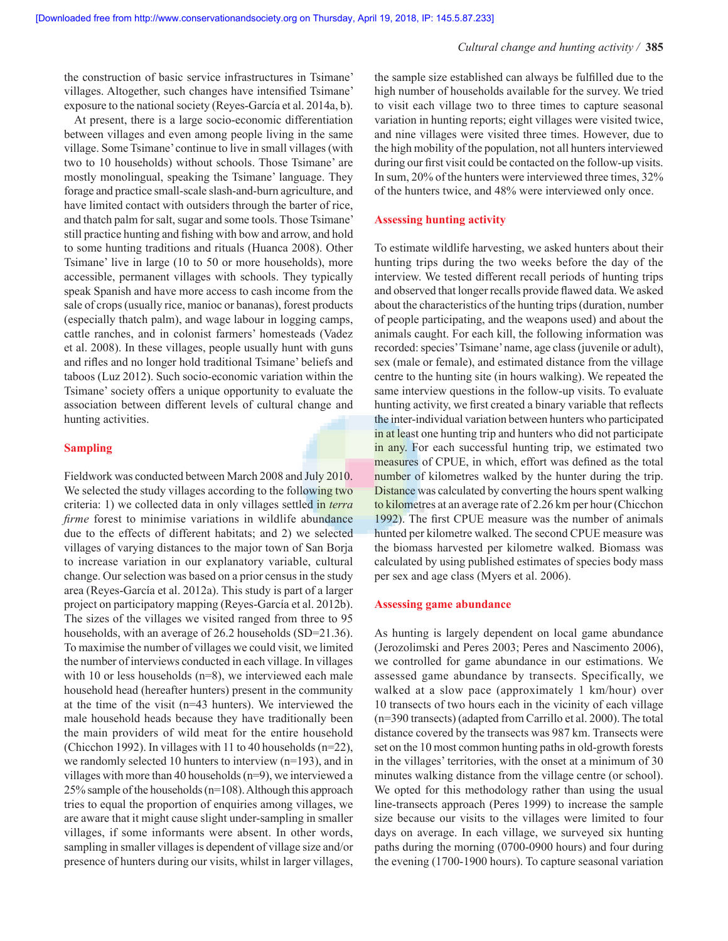the construction of basic service infrastructures in Tsimane' villages. Altogether, such changes have intensified Tsimane' exposure to the national society (Reyes-García et al. 2014a, b).

At present, there is a large socio-economic differentiation between villages and even among people living in the same village. Some Tsimane' continue to live in small villages (with two to 10 households) without schools. Those Tsimane' are mostly monolingual, speaking the Tsimane' language. They forage and practice small-scale slash-and-burn agriculture, and have limited contact with outsiders through the barter of rice, and thatch palm for salt, sugar and some tools. Those Tsimane' still practice hunting and fishing with bow and arrow, and hold to some hunting traditions and rituals (Huanca 2008). Other Tsimane' live in large (10 to 50 or more households), more accessible, permanent villages with schools. They typically speak Spanish and have more access to cash income from the sale of crops (usually rice, manioc or bananas), forest products (especially thatch palm), and wage labour in logging camps, cattle ranches, and in colonist farmers' homesteads (Vadez et al. 2008). In these villages, people usually hunt with guns and rifles and no longer hold traditional Tsimane' beliefs and taboos (Luz 2012). Such socio-economic variation within the Tsimane' society offers a unique opportunity to evaluate the association between different levels of cultural change and hunting activities.

### **Sampling**

Fieldwork was conducted between March 2008 and July 2010. We selected the study villages according to the following two criteria: 1) we collected data in only villages settled in *terra firme* forest to minimise variations in wildlife abundance due to the effects of different habitats; and 2) we selected villages of varying distances to the major town of San Borja to increase variation in our explanatory variable, cultural change. Our selection was based on a prior census in the study area (Reyes-García et al. 2012a). This study is part of a larger project on participatory mapping (Reyes-García et al. 2012b). The sizes of the villages we visited ranged from three to 95 households, with an average of 26.2 households (SD=21.36). To maximise the number of villages we could visit, we limited the number of interviews conducted in each village. In villages with 10 or less households (n=8), we interviewed each male household head (hereafter hunters) present in the community at the time of the visit (n=43 hunters). We interviewed the male household heads because they have traditionally been the main providers of wild meat for the entire household (Chicchon 1992). In villages with 11 to 40 households (n=22), we randomly selected 10 hunters to interview (n=193), and in villages with more than 40 households (n=9), we interviewed a 25% sample of the households (n=108). Although this approach tries to equal the proportion of enquiries among villages, we are aware that it might cause slight under-sampling in smaller villages, if some informants were absent. In other words, sampling in smaller villages is dependent of village size and/or presence of hunters during our visits, whilst in larger villages, the sample size established can always be fulfilled due to the high number of households available for the survey. We tried to visit each village two to three times to capture seasonal variation in hunting reports; eight villages were visited twice, and nine villages were visited three times. However, due to the high mobility of the population, not all hunters interviewed during our first visit could be contacted on the follow-up visits. In sum, 20% of the hunters were interviewed three times, 32% of the hunters twice, and 48% were interviewed only once.

### **Assessing hunting activity**

To estimate wildlife harvesting, we asked hunters about their hunting trips during the two weeks before the day of the interview. We tested different recall periods of hunting trips and observed that longer recalls provide flawed data. We asked about the characteristics of the hunting trips (duration, number of people participating, and the weapons used) and about the animals caught. For each kill, the following information was recorded: species' Tsimane' name, age class (juvenile or adult), sex (male or female), and estimated distance from the village centre to the hunting site (in hours walking). We repeated the same interview questions in the follow-up visits. To evaluate hunting activity, we first created a binary variable that reflects the inter-individual variation between hunters who participated in at least one hunting trip and hunters who did not participate in any. For each successful hunting trip, we estimated two measures of CPUE, in which, effort was defined as the total number of kilometres walked by the hunter during the trip. Distance was calculated by converting the hours spent walking to kilometres at an average rate of 2.26 km per hour (Chicchon 1992). The first CPUE measure was the number of animals hunted per kilometre walked. The second CPUE measure was the biomass harvested per kilometre walked. Biomass was calculated by using published estimates of species body mass per sex and age class (Myers et al. 2006).

### **Assessing game abundance**

As hunting is largely dependent on local game abundance (Jerozolimski and Peres 2003; Peres and Nascimento 2006), we controlled for game abundance in our estimations. We assessed game abundance by transects. Specifically, we walked at a slow pace (approximately 1 km/hour) over 10 transects of two hours each in the vicinity of each village (n=390 transects) (adapted from Carrillo et al. 2000). The total distance covered by the transects was 987 km. Transects were set on the 10 most common hunting paths in old-growth forests in the villages' territories, with the onset at a minimum of 30 minutes walking distance from the village centre (or school). We opted for this methodology rather than using the usual line-transects approach (Peres 1999) to increase the sample size because our visits to the villages were limited to four days on average. In each village, we surveyed six hunting paths during the morning (0700-0900 hours) and four during the evening (1700-1900 hours). To capture seasonal variation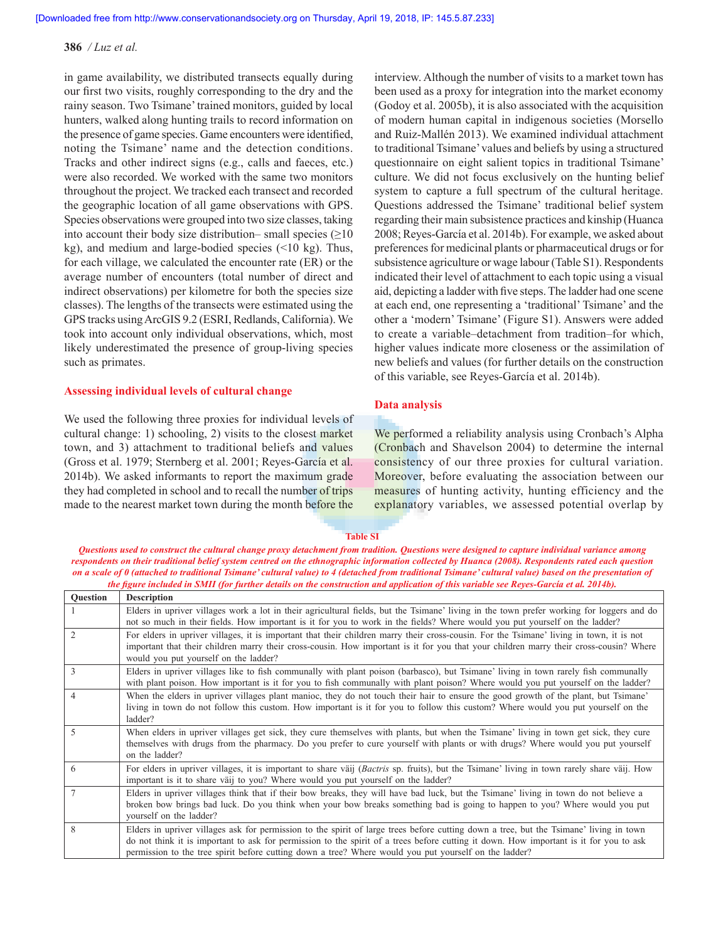in game availability, we distributed transects equally during our first two visits, roughly corresponding to the dry and the rainy season. Two Tsimane' trained monitors, guided by local hunters, walked along hunting trails to record information on the presence of game species. Game encounters were identified, noting the Tsimane' name and the detection conditions. Tracks and other indirect signs (e.g., calls and faeces, etc.) were also recorded. We worked with the same two monitors throughout the project. We tracked each transect and recorded the geographic location of all game observations with GPS. Species observations were grouped into two size classes, taking into account their body size distribution– small species  $(≥10$ kg), and medium and large-bodied species (<10 kg). Thus, for each village, we calculated the encounter rate (ER) or the average number of encounters (total number of direct and indirect observations) per kilometre for both the species size classes). The lengths of the transects were estimated using the GPS tracks using ArcGIS 9.2 (ESRI, Redlands, California). We took into account only individual observations, which, most likely underestimated the presence of group-living species such as primates.

### **Assessing individual levels of cultural change**

We used the following three proxies for individual levels of cultural change: 1) schooling, 2) visits to the closest market town, and 3) attachment to traditional beliefs and values (Gross et al. 1979; Sternberg et al. 2001; Reyes-García et al. 2014b). We asked informants to report the maximum grade they had completed in school and to recall the number of trips made to the nearest market town during the month before the interview. Although the number of visits to a market town has been used as a proxy for integration into the market economy (Godoy et al. 2005b), it is also associated with the acquisition of modern human capital in indigenous societies (Morsello and Ruiz-Mallén 2013). We examined individual attachment to traditional Tsimane' values and beliefs by using a structured questionnaire on eight salient topics in traditional Tsimane' culture. We did not focus exclusively on the hunting belief system to capture a full spectrum of the cultural heritage. Questions addressed the Tsimane' traditional belief system regarding their main subsistence practices and kinship (Huanca 2008; Reyes-García et al. 2014b). For example, we asked about preferences for medicinal plants or pharmaceutical drugs or for subsistence agriculture or wage labour (Table S1). Respondents indicated their level of attachment to each topic using a visual aid, depicting a ladder with five steps. The ladder had one scene at each end, one representing a 'traditional' Tsimane' and the other a 'modern' Tsimane' (Figure S1). Answers were added to create a variable–detachment from tradition–for which, higher values indicate more closeness or the assimilation of new beliefs and values (for further details on the construction of this variable, see Reyes-García et al. 2014b).

### **Data analysis**

We performed a reliability analysis using Cronbach's Alpha (Cronbach and Shavelson 2004) to determine the internal consistency of our three proxies for cultural variation. Moreover, before evaluating the association between our measures of hunting activity, hunting efficiency and the explanatory variables, we assessed potential overlap by

### **Table SI**

*Questions used to construct the cultural change proxy detachment from tradition. Questions were designed to capture individual variance among respondents on their traditional belief system centred on the ethnographic information collected by Huanca (2008). Respondents rated each question on a scale of 0 (attached to traditional Tsimane' cultural value) to 4 (detached from traditional Tsimane' cultural value) based on the presentation of the figure included in SMII (for further details on the construction and application of this variable see Reyes‑García et al. 2014b).*

| Question       | <b>Description</b>                                                                                                                                                                                                                                                                                                                                                                        |
|----------------|-------------------------------------------------------------------------------------------------------------------------------------------------------------------------------------------------------------------------------------------------------------------------------------------------------------------------------------------------------------------------------------------|
|                | Elders in upriver villages work a lot in their agricultural fields, but the Tsimane' living in the town prefer working for loggers and do<br>not so much in their fields. How important is it for you to work in the fields? Where would you put yourself on the ladder?                                                                                                                  |
|                | For elders in upriver villages, it is important that their children marry their cross-cousin. For the Tsimane' living in town, it is not<br>important that their children marry their cross-cousin. How important is it for you that your children marry their cross-cousin? Where<br>would you put yourself on the ladder?                                                               |
| 3              | Elders in upriver villages like to fish communally with plant poison (barbasco), but Tsimane' living in town rarely fish communally<br>with plant poison. How important is it for you to fish communally with plant poison? Where would you put yourself on the ladder?                                                                                                                   |
| $\overline{4}$ | When the elders in upriver villages plant manioc, they do not touch their hair to ensure the good growth of the plant, but Tsimane'<br>living in town do not follow this custom. How important is it for you to follow this custom? Where would you put yourself on the<br>ladder?                                                                                                        |
| 5              | When elders in upriver villages get sick, they cure themselves with plants, but when the Tsimane' living in town get sick, they cure<br>themselves with drugs from the pharmacy. Do you prefer to cure yourself with plants or with drugs? Where would you put yourself<br>on the ladder?                                                                                                 |
| 6              | For elders in upriver villages, it is important to share väij (Bactris sp. fruits), but the Tsimane' living in town rarely share väij. How<br>important is it to share vaij to you? Where would you put yourself on the ladder?                                                                                                                                                           |
|                | Elders in upriver villages think that if their bow breaks, they will have bad luck, but the Tsimane' living in town do not believe a<br>broken bow brings bad luck. Do you think when your bow breaks something bad is going to happen to you? Where would you put<br>yourself on the ladder?                                                                                             |
| 8              | Elders in upriver villages ask for permission to the spirit of large trees before cutting down a tree, but the Tsimane' living in town<br>do not think it is important to ask for permission to the spirit of a trees before cutting it down. How important is it for you to ask<br>permission to the tree spirit before cutting down a tree? Where would you put yourself on the ladder? |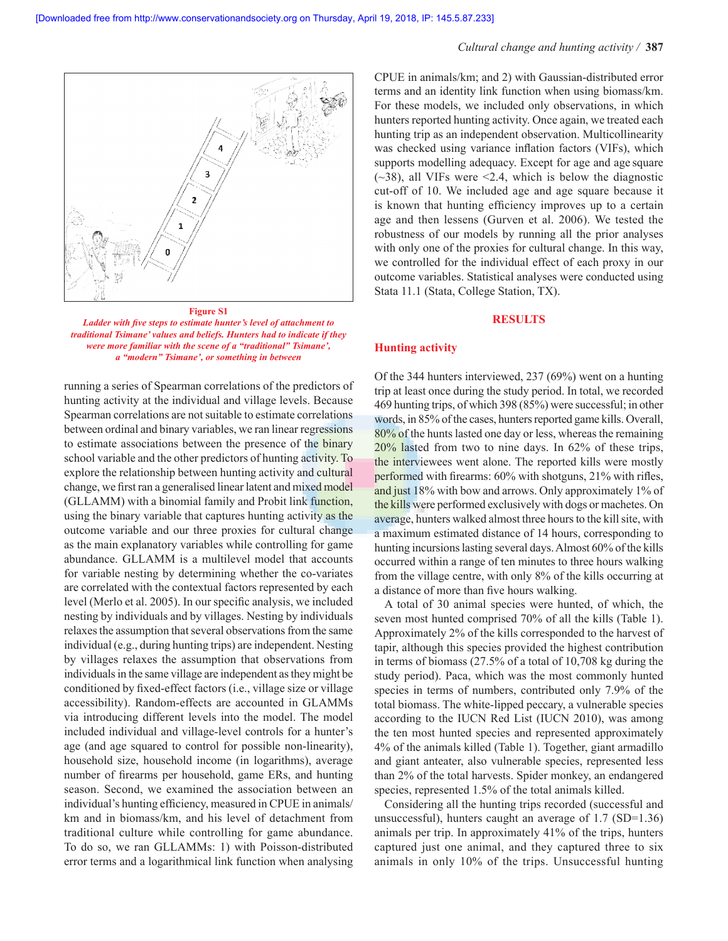

*Ladder with five steps to estimate hunter's level of attachment to traditional Tsimane' values and beliefs. Hunters had to indicate if they were more familiar with the scene of a "traditional" Tsimane', a "modern" Tsimane', or something in between*

running a series of Spearman correlations of the predictors of hunting activity at the individual and village levels. Because Spearman correlations are not suitable to estimate correlations between ordinal and binary variables, we ran linear regressions to estimate associations between the presence of the binary school variable and the other predictors of hunting activity. To explore the relationship between hunting activity and cultural change, we first ran a generalised linear latent and mixed model (GLLAMM) with a binomial family and Probit link function, using the binary variable that captures hunting activity as the outcome variable and our three proxies for cultural change as the main explanatory variables while controlling for game abundance. GLLAMM is a multilevel model that accounts for variable nesting by determining whether the co-variates are correlated with the contextual factors represented by each level (Merlo et al. 2005). In our specific analysis, we included nesting by individuals and by villages. Nesting by individuals relaxes the assumption that several observations from the same individual (e.g., during hunting trips) are independent. Nesting by villages relaxes the assumption that observations from individuals in the same village are independent as they might be conditioned by fixed-effect factors (i.e., village size or village accessibility). Random-effects are accounted in GLAMMs via introducing different levels into the model. The model included individual and village-level controls for a hunter's age (and age squared to control for possible non-linearity), household size, household income (in logarithms), average number of firearms per household, game ERs, and hunting season. Second, we examined the association between an individual's hunting efficiency, measured in CPUE in animals/ km and in biomass/km, and his level of detachment from traditional culture while controlling for game abundance. To do so, we ran GLLAMMs: 1) with Poisson-distributed error terms and a logarithmical link function when analysing CPUE in animals/km; and 2) with Gaussian-distributed error terms and an identity link function when using biomass/km. For these models, we included only observations, in which hunters reported hunting activity. Once again, we treated each hunting trip as an independent observation. Multicollinearity was checked using variance inflation factors (VIFs), which supports modelling adequacy. Except for age and age square  $(-38)$ , all VIFs were  $\leq$ 2.4, which is below the diagnostic cut-off of 10. We included age and age square because it is known that hunting efficiency improves up to a certain age and then lessens (Gurven et al. 2006). We tested the robustness of our models by running all the prior analyses with only one of the proxies for cultural change. In this way, we controlled for the individual effect of each proxy in our outcome variables. Statistical analyses were conducted using Stata 11.1 (Stata, College Station, TX).

### **RESULTS**

### **Hunting activity**

Of the 344 hunters interviewed, 237 (69%) went on a hunting trip at least once during the study period. In total, we recorded 469 hunting trips, of which 398 (85%) were successful; in other words, in 85% of the cases, hunters reported game kills. Overall, 80% of the hunts lasted one day or less, whereas the remaining 20% lasted from two to nine days. In 62% of these trips, the interviewees went alone. The reported kills were mostly performed with firearms: 60% with shotguns, 21% with rifles, and just 18% with bow and arrows. Only approximately 1% of the kills were performed exclusively with dogs or machetes. On average, hunters walked almost three hours to the kill site, with a maximum estimated distance of 14 hours, corresponding to hunting incursions lasting several days. Almost 60% of the kills occurred within a range of ten minutes to three hours walking from the village centre, with only 8% of the kills occurring at a distance of more than five hours walking.

A total of 30 animal species were hunted, of which, the seven most hunted comprised 70% of all the kills (Table 1). Approximately 2% of the kills corresponded to the harvest of tapir, although this species provided the highest contribution in terms of biomass (27.5% of a total of 10,708 kg during the study period). Paca, which was the most commonly hunted species in terms of numbers, contributed only 7.9% of the total biomass. The white-lipped peccary, a vulnerable species according to the IUCN Red List (IUCN 2010), was among the ten most hunted species and represented approximately 4% of the animals killed (Table 1). Together, giant armadillo and giant anteater, also vulnerable species, represented less than 2% of the total harvests. Spider monkey, an endangered species, represented 1.5% of the total animals killed.

Considering all the hunting trips recorded (successful and unsuccessful), hunters caught an average of 1.7 (SD=1.36) animals per trip. In approximately 41% of the trips, hunters captured just one animal, and they captured three to six animals in only 10% of the trips. Unsuccessful hunting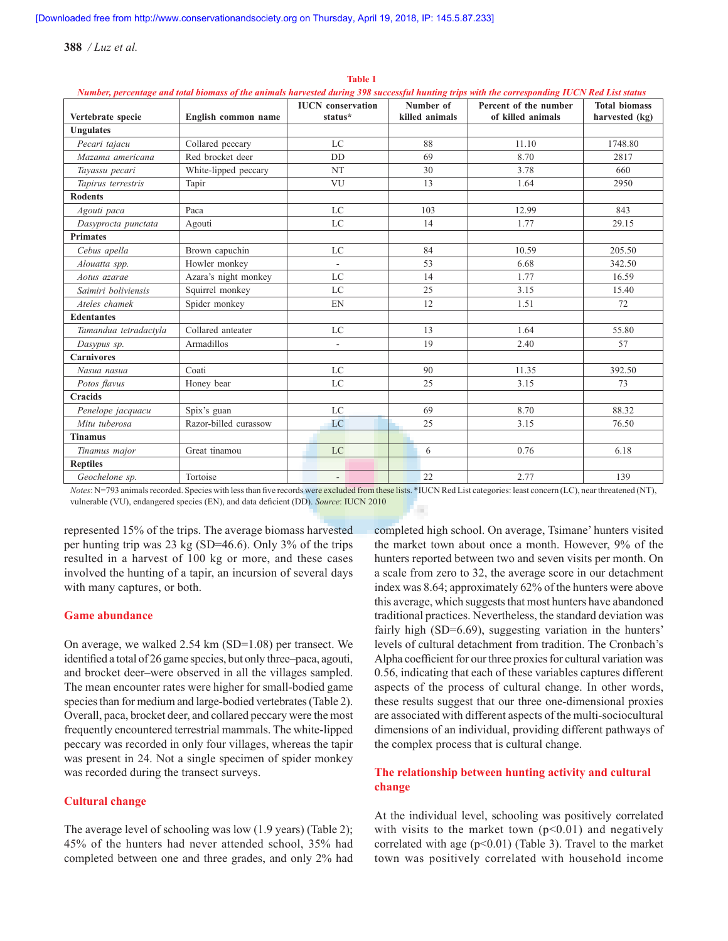|                       |                       | <b>IUCN</b> conservation | Number of      | Percent of the number | <b>Total biomass</b> |
|-----------------------|-----------------------|--------------------------|----------------|-----------------------|----------------------|
| Vertebrate specie     | English common name   | status*                  | killed animals | of killed animals     | harvested (kg)       |
| <b>Ungulates</b>      |                       |                          |                |                       |                      |
| Pecari tajacu         | Collared peccary      | LC                       | 88             | 11.10                 | 1748.80              |
| Mazama americana      | Red brocket deer      | <b>DD</b>                | 69             | 8.70                  | 2817                 |
| Tayassu pecari        | White-lipped peccary  | <b>NT</b>                | 30             | 3.78                  | 660                  |
| Tapirus terrestris    | Tapir                 | VU                       | 13             | 1.64                  | 2950                 |
| <b>Rodents</b>        |                       |                          |                |                       |                      |
| Agouti paca           | Paca                  | LC                       | 103            | 12.99                 | 843                  |
| Dasyprocta punctata   | Agouti                | LC                       | 14             | 1.77                  | 29.15                |
| <b>Primates</b>       |                       |                          |                |                       |                      |
| Cebus apella          | Brown capuchin        | LC                       | 84             | 10.59                 | 205.50               |
| Alouatta spp.         | Howler monkey         | $\sim$                   | 53             | 6.68                  | 342.50               |
| Aotus azarae          | Azara's night monkey  | LC                       | 14             | 1.77                  | 16.59                |
| Saimiri boliviensis   | Squirrel monkey       | LC                       | 25             | 3.15                  | 15.40                |
| Ateles chamek         | Spider monkey         | EN                       | 12             | 1.51                  | 72                   |
| <b>Edentantes</b>     |                       |                          |                |                       |                      |
| Tamandua tetradactyla | Collared anteater     | LC                       | 13             | 1.64                  | 55.80                |
| Dasypus sp.           | Armadillos            | $\overline{\phantom{a}}$ | 19             | 2.40                  | 57                   |
| <b>Carnivores</b>     |                       |                          |                |                       |                      |
| Nasua nasua           | Coati                 | LC                       | 90             | 11.35                 | 392.50               |
| Potos flavus          | Honey bear            | LC                       | 25             | 3.15                  | 73                   |
| <b>Cracids</b>        |                       |                          |                |                       |                      |
| Penelope jacquacu     | Spix's guan           | LC                       | 69             | 8.70                  | 88.32                |
| Mitu tuberosa         | Razor-billed curassow | LC                       | 25             | 3.15                  | 76.50                |
| <b>Tinamus</b>        |                       |                          |                |                       |                      |
| Tinamus major         | Great tinamou         | LC                       | 6              | 0.76                  | 6.18                 |
| <b>Reptiles</b>       |                       |                          |                |                       |                      |
| Geochelone sp.        | Tortoise              | $\overline{\phantom{a}}$ | 22             | 2.77                  | 139                  |

**Table 1** *Number, percentage and total biomass of the animals harvested during 398 successful hunting trips with the corresponding IUCN Red List status*

*Notes*: N=793 animals recorded. Species with less than five records were excluded from these lists. \*IUCN Red List categories: least concern (LC), near threatened (NT), vulnerable (VU), endangered species (EN), and data deficient (DD). *Source*: IUCN 2010

represented 15% of the trips. The average biomass harvested per hunting trip was 23 kg (SD=46.6). Only 3% of the trips resulted in a harvest of 100 kg or more, and these cases involved the hunting of a tapir, an incursion of several days with many captures, or both.

### **Game abundance**

On average, we walked 2.54 km (SD=1.08) per transect. We identified a total of 26 game species, but only three–paca, agouti, and brocket deer–were observed in all the villages sampled. The mean encounter rates were higher for small-bodied game species than for medium and large-bodied vertebrates (Table 2). Overall, paca, brocket deer, and collared peccary were the most frequently encountered terrestrial mammals. The white-lipped peccary was recorded in only four villages, whereas the tapir was present in 24. Not a single specimen of spider monkey was recorded during the transect surveys.

### **Cultural change**

The average level of schooling was low (1.9 years) (Table 2); 45% of the hunters had never attended school, 35% had completed between one and three grades, and only 2% had completed high school. On average, Tsimane' hunters visited the market town about once a month. However, 9% of the hunters reported between two and seven visits per month. On a scale from zero to 32, the average score in our detachment index was 8.64; approximately 62% of the hunters were above this average, which suggests that most hunters have abandoned traditional practices. Nevertheless, the standard deviation was fairly high (SD=6.69), suggesting variation in the hunters' levels of cultural detachment from tradition. The Cronbach's Alpha coefficient for our three proxies for cultural variation was 0.56, indicating that each of these variables captures different aspects of the process of cultural change. In other words, these results suggest that our three one-dimensional proxies are associated with different aspects of the multi-sociocultural dimensions of an individual, providing different pathways of the complex process that is cultural change.

# **The relationship between hunting activity and cultural change**

At the individual level, schooling was positively correlated with visits to the market town  $(p<0.01)$  and negatively correlated with age  $(p<0.01)$  (Table 3). Travel to the market town was positively correlated with household income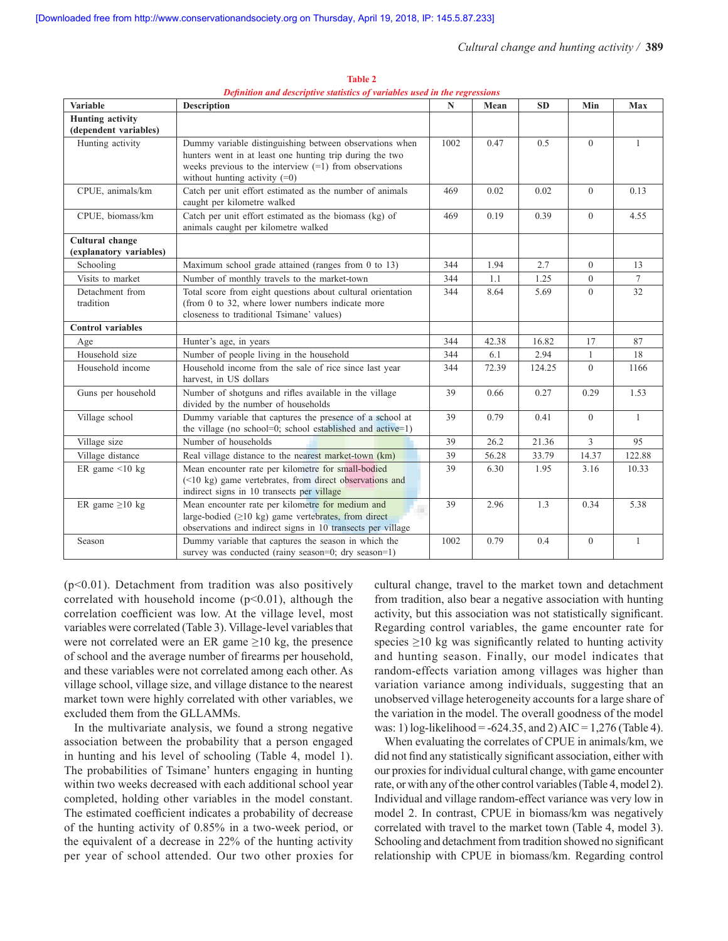| <b>Variable</b>                                  | <b>Description</b>                                                                                                                                                                                                 | $\mathbf N$ | Mean  | <b>SD</b> | Min            | <b>Max</b>      |
|--------------------------------------------------|--------------------------------------------------------------------------------------------------------------------------------------------------------------------------------------------------------------------|-------------|-------|-----------|----------------|-----------------|
| <b>Hunting</b> activity<br>(dependent variables) |                                                                                                                                                                                                                    |             |       |           |                |                 |
| Hunting activity                                 | Dummy variable distinguishing between observations when<br>hunters went in at least one hunting trip during the two<br>weeks previous to the interview $(=1)$ from observations<br>without hunting activity $(=0)$ | 1002        | 0.47  | 0.5       | $\overline{0}$ | $\mathbf{1}$    |
| CPUE, animals/km                                 | Catch per unit effort estimated as the number of animals<br>caught per kilometre walked                                                                                                                            | 469         | 0.02  | 0.02      | $\overline{0}$ | 0.13            |
| CPUE, biomass/km                                 | Catch per unit effort estimated as the biomass (kg) of<br>animals caught per kilometre walked                                                                                                                      | 469         | 0.19  | 0.39      | $\theta$       | 4.55            |
| Cultural change                                  |                                                                                                                                                                                                                    |             |       |           |                |                 |
| (explanatory variables)                          |                                                                                                                                                                                                                    |             |       |           |                |                 |
| Schooling                                        | Maximum school grade attained (ranges from 0 to 13)                                                                                                                                                                | 344         | 1.94  | 2.7       | $\overline{0}$ | 13              |
| Visits to market                                 | Number of monthly travels to the market-town                                                                                                                                                                       | 344         | 1.1   | 1.25      | $\overline{0}$ | $7\overline{ }$ |
| Detachment from<br>tradition                     | Total score from eight questions about cultural orientation<br>(from 0 to 32, where lower numbers indicate more<br>closeness to traditional Tsimane' values)                                                       | 344         | 8.64  | 5.69      | $\theta$       | 32              |
| <b>Control</b> variables                         |                                                                                                                                                                                                                    |             |       |           |                |                 |
| Age                                              | Hunter's age, in years                                                                                                                                                                                             | 344         | 42.38 | 16.82     | 17             | 87              |
| Household size                                   | Number of people living in the household                                                                                                                                                                           | 344         | 6.1   | 2.94      | $\mathbf{1}$   | 18              |
| Household income                                 | Household income from the sale of rice since last year<br>harvest, in US dollars                                                                                                                                   | 344         | 72.39 | 124.25    | $\overline{0}$ | 1166            |
| Guns per household                               | Number of shotguns and rifles available in the village<br>divided by the number of households                                                                                                                      | 39          | 0.66  | 0.27      | 0.29           | 1.53            |
| Village school                                   | Dummy variable that captures the presence of a school at<br>the village (no school=0; school established and active=1)                                                                                             | 39          | 0.79  | 0.41      | $\theta$       | $\mathbf{1}$    |
| Village size                                     | Number of households                                                                                                                                                                                               | 39          | 26.2  | 21.36     | $\overline{3}$ | 95              |
| Village distance                                 | Real village distance to the nearest market-town (km)                                                                                                                                                              | 39          | 56.28 | 33.79     | 14.37          | 122.88          |
| ER game $\leq 10$ kg                             | Mean encounter rate per kilometre for small-bodied<br>$(\leq 10 \text{ kg})$ game vertebrates, from direct observations and<br>indirect signs in 10 transects per village                                          | 39          | 6.30  | 1.95      | 3.16           | 10.33           |
| ER game $\geq 10$ kg                             | Mean encounter rate per kilometre for medium and<br>large-bodied $(≥10$ kg) game vertebrates, from direct<br>observations and indirect signs in 10 transects per village                                           | 39          | 2.96  | 1.3       | 0.34           | 5.38            |
| Season                                           | Dummy variable that captures the season in which the<br>survey was conducted (rainy season=0; dry season=1)                                                                                                        | 1002        | 0.79  | 0.4       | $\mathbf{0}$   | 1               |

**Table 2** *Definition and descriptive statistics of variables used in the regressions*

 $(p<0.01)$ . Detachment from tradition was also positively correlated with household income  $(p<0.01)$ , although the correlation coefficient was low. At the village level, most variables were correlated (Table 3). Village-level variables that were not correlated were an ER game  $\geq 10$  kg, the presence of school and the average number of firearms per household, and these variables were not correlated among each other. As village school, village size, and village distance to the nearest market town were highly correlated with other variables, we excluded them from the GLLAMMs.

In the multivariate analysis, we found a strong negative association between the probability that a person engaged in hunting and his level of schooling (Table 4, model 1). The probabilities of Tsimane' hunters engaging in hunting within two weeks decreased with each additional school year completed, holding other variables in the model constant. The estimated coefficient indicates a probability of decrease of the hunting activity of 0.85% in a two-week period, or the equivalent of a decrease in 22% of the hunting activity per year of school attended. Our two other proxies for cultural change, travel to the market town and detachment from tradition, also bear a negative association with hunting activity, but this association was not statistically significant. Regarding control variables, the game encounter rate for species  $\geq 10$  kg was significantly related to hunting activity and hunting season. Finally, our model indicates that random-effects variation among villages was higher than variation variance among individuals, suggesting that an unobserved village heterogeneity accounts for a large share of the variation in the model. The overall goodness of the model was: 1) log-likelihood = -624.35, and 2) AIC = 1,276 (Table 4).

When evaluating the correlates of CPUE in animals/km, we did not find any statistically significant association, either with our proxies for individual cultural change, with game encounter rate, or with any of the other control variables (Table 4, model 2). Individual and village random-effect variance was very low in model 2. In contrast, CPUE in biomass/km was negatively correlated with travel to the market town (Table 4, model 3). Schooling and detachment from tradition showed no significant relationship with CPUE in biomass/km. Regarding control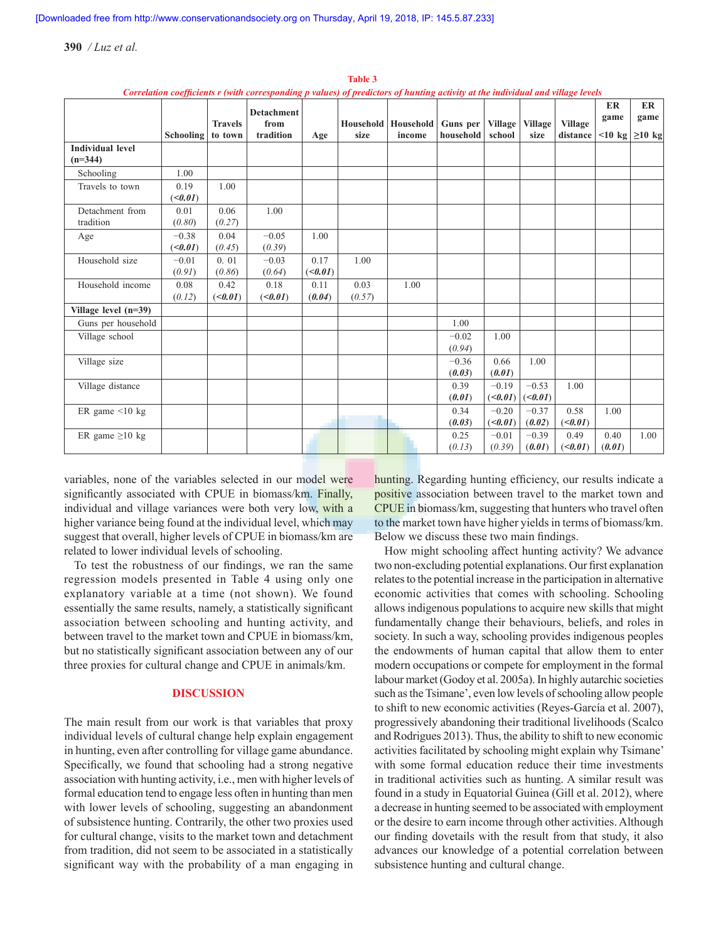|                                      | <b>Schooling</b>  | <b>Travels</b><br>to town | сотешион сосудсения с уман соттевронинд р чител од ртешенотя од нининд исимиј игни ништини ини манде исмен<br><b>Detachment</b><br>from<br>tradition | Age                     | size           | Household   Household   Guns per<br>income | household         | Village<br>school  | <b>Village</b><br>size | <b>Village</b><br>distance | <b>ER</b><br>game<br>$\leq$ 10 kg | ER<br>game<br>$\geq$ 10 kg |
|--------------------------------------|-------------------|---------------------------|------------------------------------------------------------------------------------------------------------------------------------------------------|-------------------------|----------------|--------------------------------------------|-------------------|--------------------|------------------------|----------------------------|-----------------------------------|----------------------------|
| <b>Individual level</b><br>$(n=344)$ |                   |                           |                                                                                                                                                      |                         |                |                                            |                   |                    |                        |                            |                                   |                            |
| Schooling                            | 1.00              |                           |                                                                                                                                                      |                         |                |                                            |                   |                    |                        |                            |                                   |                            |
| Travels to town                      | 0.19<br>(         | 1.00                      |                                                                                                                                                      |                         |                |                                            |                   |                    |                        |                            |                                   |                            |
| Detachment from<br>tradition         | 0.01<br>(0.80)    | 0.06<br>(0.27)            | 1.00                                                                                                                                                 |                         |                |                                            |                   |                    |                        |                            |                                   |                            |
| Age                                  | $-0.38$<br>(      | 0.04<br>(0.45)            | $-0.05$<br>(0.39)                                                                                                                                    | 1.00                    |                |                                            |                   |                    |                        |                            |                                   |                            |
| Household size                       | $-0.01$<br>(0.91) | 0.01<br>(0.86)            | $-0.03$<br>(0.64)                                                                                                                                    | 0.17<br>( <i>0.01</i> ) | 1.00           |                                            |                   |                    |                        |                            |                                   |                            |
| Household income                     | 0.08<br>(0.12)    | 0.42<br>( <i>0.01</i> )   | 0.18<br>( <i>0.01</i> )                                                                                                                              | 0.11<br>(0.04)          | 0.03<br>(0.57) | 1.00                                       |                   |                    |                        |                            |                                   |                            |
| Village level $(n=39)$               |                   |                           |                                                                                                                                                      |                         |                |                                            |                   |                    |                        |                            |                                   |                            |
| Guns per household                   |                   |                           |                                                                                                                                                      |                         |                |                                            | 1.00              |                    |                        |                            |                                   |                            |
| Village school                       |                   |                           |                                                                                                                                                      |                         |                |                                            | $-0.02$<br>(0.94) | 1.00               |                        |                            |                                   |                            |
| Village size                         |                   |                           |                                                                                                                                                      |                         |                |                                            | $-0.36$<br>(0.03) | 0.66<br>(0.01)     | 1.00                   |                            |                                   |                            |
| Village distance                     |                   |                           |                                                                                                                                                      |                         |                |                                            | 0.39<br>(0.01)    | $-0.19$<br>(<0.01) | $-0.53$<br>(<0.01)     | 1.00                       |                                   |                            |
| ER game $\leq 10$ kg                 |                   |                           |                                                                                                                                                      |                         |                |                                            | 0.34<br>(0.03)    | $-0.20$<br>(<0.01) | $-0.37$<br>(0.02)      | 0.58<br>(<0.01)            | 1.00                              |                            |
| ER game $\geq 10$ kg                 |                   |                           |                                                                                                                                                      |                         |                |                                            | 0.25<br>(0.13)    | $-0.01$<br>(0.39)  | $-0.39$<br>(0.01)      | 0.49<br>(<0.01)            | 0.40<br>(0.01)                    | 1.00                       |

**Table 3** *Correlation coefficients r (with corresponding p values) of predictors of hunting activity at the individual and village levels*

variables, none of the variables selected in our model were significantly associated with CPUE in biomass/km. Finally, individual and village variances were both very low, with a higher variance being found at the individual level, which may suggest that overall, higher levels of CPUE in biomass/km are related to lower individual levels of schooling.

To test the robustness of our findings, we ran the same regression models presented in Table 4 using only one explanatory variable at a time (not shown). We found essentially the same results, namely, a statistically significant association between schooling and hunting activity, and between travel to the market town and CPUE in biomass/km, but no statistically significant association between any of our three proxies for cultural change and CPUE in animals/km.

# **DISCUSSION**

The main result from our work is that variables that proxy individual levels of cultural change help explain engagement in hunting, even after controlling for village game abundance. Specifically, we found that schooling had a strong negative association with hunting activity, i.e., men with higher levels of formal education tend to engage less often in hunting than men with lower levels of schooling, suggesting an abandonment of subsistence hunting. Contrarily, the other two proxies used for cultural change, visits to the market town and detachment from tradition, did not seem to be associated in a statistically significant way with the probability of a man engaging in

hunting. Regarding hunting efficiency, our results indicate a positive association between travel to the market town and CPUE in biomass/km, suggesting that hunters who travel often to the market town have higher yields in terms of biomass/km. Below we discuss these two main findings.

How might schooling affect hunting activity? We advance two non-excluding potential explanations. Our first explanation relates to the potential increase in the participation in alternative economic activities that comes with schooling. Schooling allows indigenous populations to acquire new skills that might fundamentally change their behaviours, beliefs, and roles in society. In such a way, schooling provides indigenous peoples the endowments of human capital that allow them to enter modern occupations or compete for employment in the formal labour market (Godoy et al. 2005a). In highly autarchic societies such as the Tsimane', even low levels of schooling allow people to shift to new economic activities (Reyes-García et al. 2007), progressively abandoning their traditional livelihoods (Scalco and Rodrigues 2013). Thus, the ability to shift to new economic activities facilitated by schooling might explain why Tsimane' with some formal education reduce their time investments in traditional activities such as hunting. A similar result was found in a study in Equatorial Guinea (Gill et al. 2012), where a decrease in hunting seemed to be associated with employment or the desire to earn income through other activities. Although our finding dovetails with the result from that study, it also advances our knowledge of a potential correlation between subsistence hunting and cultural change.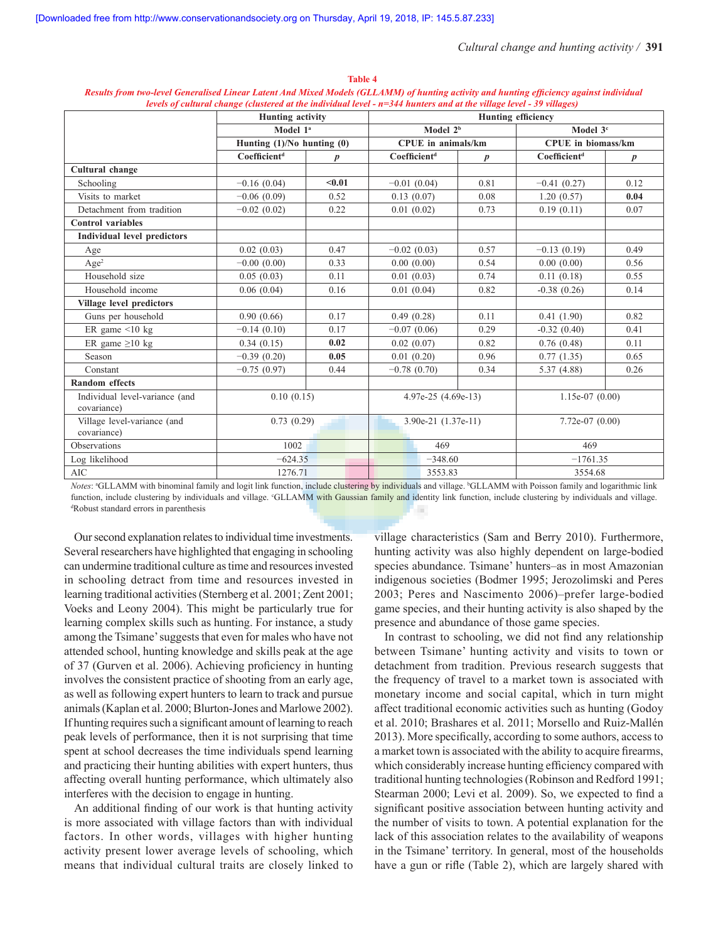| нетеку ор синитал спанде (сиязетеа ал те талташаа нетел <del>-</del> н=э++ нишегу ана ал те тааде нетел - ээ таадез) |                                |                  |                           |                  |                           |                  |  |  |  |
|----------------------------------------------------------------------------------------------------------------------|--------------------------------|------------------|---------------------------|------------------|---------------------------|------------------|--|--|--|
|                                                                                                                      | <b>Hunting activity</b>        |                  | <b>Hunting efficiency</b> |                  |                           |                  |  |  |  |
|                                                                                                                      | Model 1 <sup>a</sup>           |                  | Model 2 <sup>b</sup>      |                  | Model 3 <sup>c</sup>      |                  |  |  |  |
|                                                                                                                      | Hunting $(1)/No$ hunting $(0)$ |                  | CPUE in animals/km        |                  | <b>CPUE</b> in biomass/km |                  |  |  |  |
|                                                                                                                      | Coefficient <sup>d</sup>       | $\boldsymbol{p}$ | Coefficient <sup>d</sup>  | $\boldsymbol{p}$ | Coefficient <sup>d</sup>  | $\boldsymbol{p}$ |  |  |  |
| Cultural change                                                                                                      |                                |                  |                           |                  |                           |                  |  |  |  |
| Schooling                                                                                                            | $-0.16(0.04)$                  | < 0.01           | $-0.01(0.04)$             | 0.81             | $-0.41(0.27)$             | 0.12             |  |  |  |
| Visits to market                                                                                                     | $-0.06(0.09)$                  | 0.52             | 0.13(0.07)                | 0.08             | 1.20(0.57)                | 0.04             |  |  |  |
| Detachment from tradition                                                                                            | $-0.02(0.02)$                  | 0.22             | 0.01(0.02)                | 0.73             | 0.19(0.11)                | 0.07             |  |  |  |
| <b>Control</b> variables                                                                                             |                                |                  |                           |                  |                           |                  |  |  |  |
| <b>Individual level predictors</b>                                                                                   |                                |                  |                           |                  |                           |                  |  |  |  |
| Age                                                                                                                  | 0.02(0.03)                     | 0.47             | $-0.02(0.03)$             | 0.57             | $-0.13(0.19)$             | 0.49             |  |  |  |
| Age <sup>2</sup>                                                                                                     | $-0.00(0.00)$                  | 0.33             | 0.00(0.00)                | 0.54             | 0.00(0.00)                | 0.56             |  |  |  |
| Household size                                                                                                       | 0.05(0.03)                     | 0.11             | 0.01(0.03)                | 0.74             | 0.11(0.18)                | 0.55             |  |  |  |
| Household income                                                                                                     | 0.06(0.04)                     | 0.16             | 0.01(0.04)                | 0.82             | $-0.38(0.26)$             | 0.14             |  |  |  |
| Village level predictors                                                                                             |                                |                  |                           |                  |                           |                  |  |  |  |
| Guns per household                                                                                                   | 0.90(0.66)                     | 0.17             | 0.49(0.28)                | 0.11             | 0.41(1.90)                | 0.82             |  |  |  |
| ER game $\leq 10$ kg                                                                                                 | $-0.14(0.10)$                  | 0.17             | $-0.07(0.06)$             | 0.29             | $-0.32(0.40)$             | 0.41             |  |  |  |
| ER game $\geq 10$ kg                                                                                                 | 0.34(0.15)                     | 0.02             | 0.02(0.07)                | 0.82             | 0.76(0.48)                | 0.11             |  |  |  |
| Season                                                                                                               | $-0.39(0.20)$                  | 0.05             | 0.01(0.20)                | 0.96             | 0.77(1.35)                | 0.65             |  |  |  |
| Constant                                                                                                             | $-0.75(0.97)$                  | 0.44             | $-0.78(0.70)$             | 0.34             | 5.37(4.88)                | 0.26             |  |  |  |
| <b>Random</b> effects                                                                                                |                                |                  |                           |                  |                           |                  |  |  |  |
| Individual level-variance (and<br>covariance)                                                                        | 0.10(0.15)                     |                  | 4.97e-25 (4.69e-13)       |                  | $1.15e-07(0.00)$          |                  |  |  |  |
| Village level-variance (and<br>covariance)                                                                           | 0.73(0.29)                     |                  | $3.90e-21$ $(1.37e-11)$   |                  | $7.72e-07(0.00)$          |                  |  |  |  |
| Observations                                                                                                         | 1002                           |                  | 469                       |                  | 469                       |                  |  |  |  |
| Log likelihood                                                                                                       | $-624.35$                      |                  |                           | $-348.60$        |                           | $-1761.35$       |  |  |  |
| <b>AIC</b>                                                                                                           | 1276.71                        |                  | 3553.83                   |                  | 3554.68                   |                  |  |  |  |

**Table 4**  *Results from two‑level Generalised Linear Latent And Mixed Models (GLLAMM) of hunting activity and hunting efficiency against individual levels of cultural change (clustered at the individual level - n=344 hunters and at the village level - 39 villages)*

Notes: <sup>a</sup>GLLAMM with binominal family and logit link function, include clustering by individuals and village. <sup>b</sup>GLLAMM with Poisson family and logarithmic link function, include clustering by individuals and village. GLLAMM with Gaussian family and identity link function, include clustering by individuals and village.<br><sup>4</sup>Robust standard errors in parenthesis Robust standard errors in parenthesis

Our second explanation relates to individual time investments. Several researchers have highlighted that engaging in schooling can undermine traditional culture as time and resources invested in schooling detract from time and resources invested in learning traditional activities (Sternberg et al. 2001; Zent 2001; Voeks and Leony 2004). This might be particularly true for learning complex skills such as hunting. For instance, a study among the Tsimane' suggests that even for males who have not attended school, hunting knowledge and skills peak at the age of 37 (Gurven et al. 2006). Achieving proficiency in hunting involves the consistent practice of shooting from an early age, as well as following expert hunters to learn to track and pursue animals (Kaplan et al. 2000; Blurton-Jones and Marlowe 2002). If hunting requires such a significant amount of learning to reach peak levels of performance, then it is not surprising that time spent at school decreases the time individuals spend learning and practicing their hunting abilities with expert hunters, thus affecting overall hunting performance, which ultimately also interferes with the decision to engage in hunting.

An additional finding of our work is that hunting activity is more associated with village factors than with individual factors. In other words, villages with higher hunting activity present lower average levels of schooling, which means that individual cultural traits are closely linked to village characteristics (Sam and Berry 2010). Furthermore, hunting activity was also highly dependent on large-bodied species abundance. Tsimane' hunters–as in most Amazonian indigenous societies (Bodmer 1995; Jerozolimski and Peres 2003; Peres and Nascimento 2006)–prefer large-bodied game species, and their hunting activity is also shaped by the presence and abundance of those game species.

In contrast to schooling, we did not find any relationship between Tsimane' hunting activity and visits to town or detachment from tradition. Previous research suggests that the frequency of travel to a market town is associated with monetary income and social capital, which in turn might affect traditional economic activities such as hunting (Godoy et al. 2010; Brashares et al. 2011; Morsello and Ruiz-Mallén 2013). More specifically, according to some authors, access to a market town is associated with the ability to acquire firearms, which considerably increase hunting efficiency compared with traditional hunting technologies (Robinson and Redford 1991; Stearman 2000; Levi et al. 2009). So, we expected to find a significant positive association between hunting activity and the number of visits to town. A potential explanation for the lack of this association relates to the availability of weapons in the Tsimane' territory. In general, most of the households have a gun or rifle (Table 2), which are largely shared with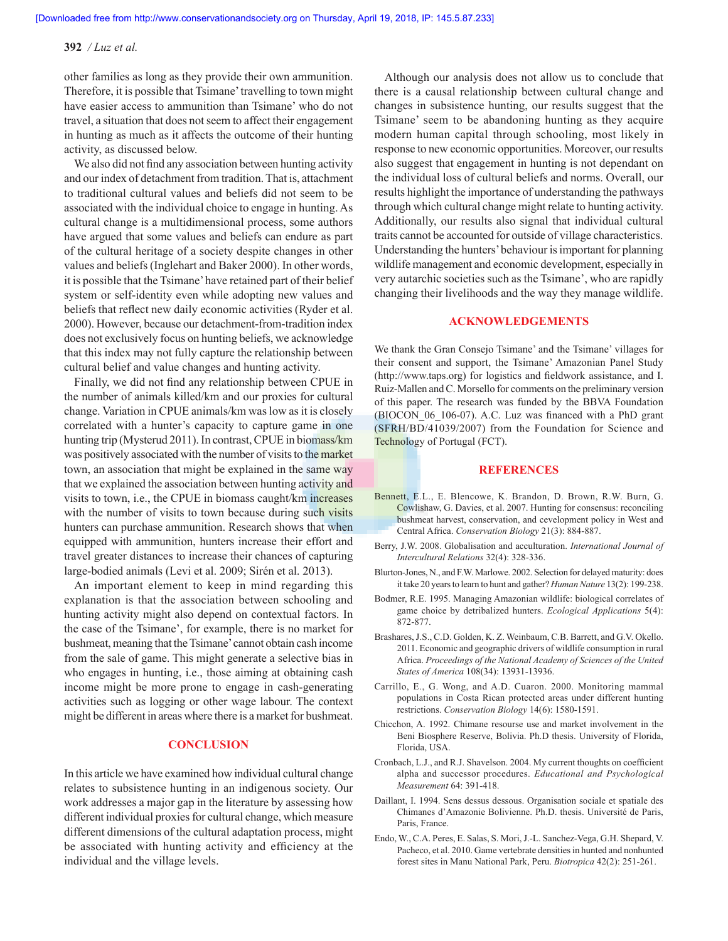other families as long as they provide their own ammunition. Therefore, it is possible that Tsimane' travelling to town might have easier access to ammunition than Tsimane' who do not travel, a situation that does not seem to affect their engagement in hunting as much as it affects the outcome of their hunting activity, as discussed below.

We also did not find any association between hunting activity and our index of detachment from tradition. That is, attachment to traditional cultural values and beliefs did not seem to be associated with the individual choice to engage in hunting. As cultural change is a multidimensional process, some authors have argued that some values and beliefs can endure as part of the cultural heritage of a society despite changes in other values and beliefs (Inglehart and Baker 2000). In other words, it is possible that the Tsimane' have retained part of their belief system or self-identity even while adopting new values and beliefs that reflect new daily economic activities (Ryder et al. 2000). However, because our detachment-from-tradition index does not exclusively focus on hunting beliefs, we acknowledge that this index may not fully capture the relationship between cultural belief and value changes and hunting activity.

Finally, we did not find any relationship between CPUE in the number of animals killed/km and our proxies for cultural change. Variation in CPUE animals/km was low as it is closely correlated with a hunter's capacity to capture game in one hunting trip (Mysterud 2011). In contrast, CPUE in biomass/km was positively associated with the number of visits to the market town, an association that might be explained in the same way that we explained the association between hunting activity and visits to town, i.e., the CPUE in biomass caught/km increases with the number of visits to town because during such visits hunters can purchase ammunition. Research shows that when equipped with ammunition, hunters increase their effort and travel greater distances to increase their chances of capturing large-bodied animals (Levi et al. 2009; Sirén et al. 2013).

An important element to keep in mind regarding this explanation is that the association between schooling and hunting activity might also depend on contextual factors. In the case of the Tsimane', for example, there is no market for bushmeat, meaning that the Tsimane' cannot obtain cash income from the sale of game. This might generate a selective bias in who engages in hunting, i.e., those aiming at obtaining cash income might be more prone to engage in cash-generating activities such as logging or other wage labour. The context might be different in areas where there is a market for bushmeat.

# **CONCLUSION**

In this article we have examined how individual cultural change relates to subsistence hunting in an indigenous society. Our work addresses a major gap in the literature by assessing how different individual proxies for cultural change, which measure different dimensions of the cultural adaptation process, might be associated with hunting activity and efficiency at the individual and the village levels.

Although our analysis does not allow us to conclude that there is a causal relationship between cultural change and changes in subsistence hunting, our results suggest that the Tsimane' seem to be abandoning hunting as they acquire modern human capital through schooling, most likely in response to new economic opportunities. Moreover, our results also suggest that engagement in hunting is not dependant on the individual loss of cultural beliefs and norms. Overall, our results highlight the importance of understanding the pathways through which cultural change might relate to hunting activity. Additionally, our results also signal that individual cultural traits cannot be accounted for outside of village characteristics. Understanding the hunters' behaviour is important for planning wildlife management and economic development, especially in very autarchic societies such as the Tsimane', who are rapidly changing their livelihoods and the way they manage wildlife.

# **ACKNOWLEDGEMENTS**

We thank the Gran Consejo Tsimane' and the Tsimane' villages for their consent and support, the Tsimane' Amazonian Panel Study (http://www.taps.org) for logistics and fieldwork assistance, and I. Ruiz-Mallen and C. Morsello for comments on the preliminary version of this paper. The research was funded by the BBVA Foundation (BIOCON\_06\_106-07). A.C. Luz was financed with a PhD grant (SFRH/BD/41039/2007) from the Foundation for Science and Technology of Portugal (FCT).

### **REFERENCES**

- Bennett, E.L., E. Blencowe, K. Brandon, D. Brown, R.W. Burn, G. Cowlishaw, G. Davies, et al. 2007. Hunting for consensus: reconciling bushmeat harvest, conservation, and cevelopment policy in West and Central Africa. *Conservation Biology* 21(3): 884-887.
- Berry, J.W. 2008. Globalisation and acculturation. *International Journal of Intercultural Relations* 32(4): 328-336.
- Blurton-Jones, N., and F.W. Marlowe. 2002. Selection for delayed maturity: does it take 20 years to learn to hunt and gather? *Human Nature* 13(2): 199-238.
- Bodmer, R.E. 1995. Managing Amazonian wildlife: biological correlates of game choice by detribalized hunters. *Ecological Applications* 5(4): 872-877.
- Brashares, J.S., C.D. Golden, K. Z. Weinbaum, C.B. Barrett, and G.V. Okello. 2011. Economic and geographic drivers of wildlife consumption in rural Africa. *Proceedings of the National Academy of Sciences of the United States of America* 108(34): 13931-13936.
- Carrillo, E., G. Wong, and A.D. Cuaron. 2000. Monitoring mammal populations in Costa Rican protected areas under different hunting restrictions. *Conservation Biology* 14(6): 1580-1591.
- Chicchon, A. 1992. Chimane resourse use and market involvement in the Beni Biosphere Reserve, Bolivia. Ph.D thesis. University of Florida, Florida, USA.
- Cronbach, L.J., and R.J. Shavelson. 2004. My current thoughts on coefficient alpha and successor procedures. *Educational and Psychological Measurement* 64: 391-418.
- Daillant, I. 1994. Sens dessus dessous. Organisation sociale et spatiale des Chimanes d'Amazonie Bolivienne. Ph.D. thesis. Université de Paris, Paris, France.
- Endo, W., C.A. Peres, E. Salas, S. Mori, J.-L. Sanchez-Vega, G.H. Shepard, V. Pacheco, et al. 2010. Game vertebrate densities in hunted and nonhunted forest sites in Manu National Park, Peru. *Biotropica* 42(2): 251-261.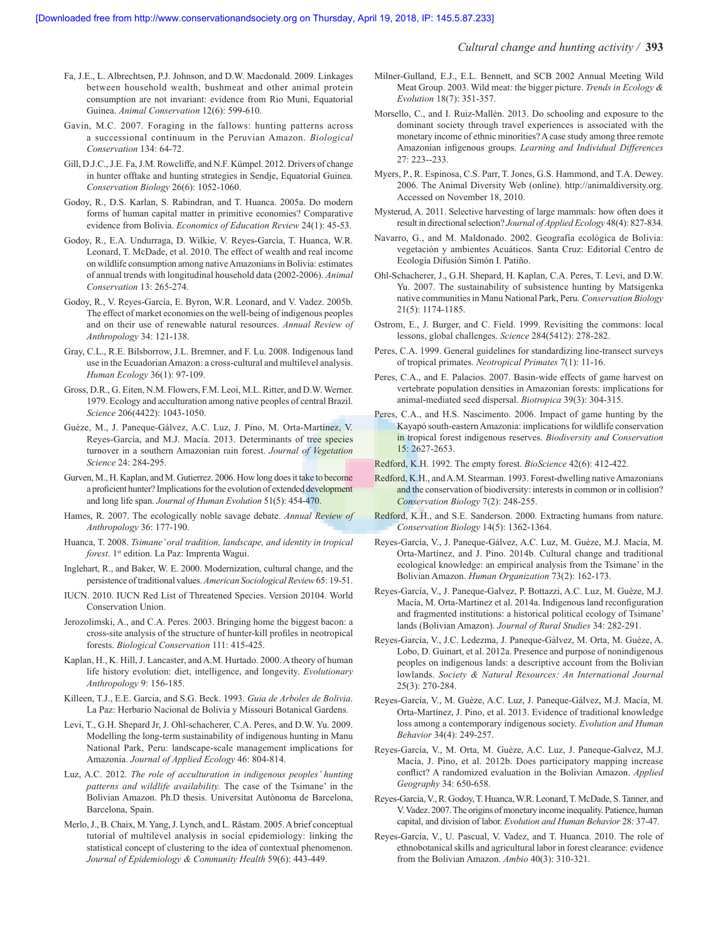- Fa, J.E., L. Albrechtsen, P.J. Johnson, and D.W. Macdonald. 2009. Linkages between household wealth, bushmeat and other animal protein consumption are not invariant: evidence from Rio Muni, Equatorial Guinea. *Animal Conservation* 12(6): 599-610.
- Gavin, M.C. 2007. Foraging in the fallows: hunting patterns across a successional continuum in the Peruvian Amazon. *Biological Conservation* 134: 64-72.
- Gill, D.J.C., J.E. Fa, J.M. Rowcliffe, and N.F. Kümpel. 2012. Drivers of change in hunter offtake and hunting strategies in Sendje, Equatorial Guinea. *Conservation Biology* 26(6): 1052-1060.
- Godoy, R., D.S. Karlan, S. Rabindran, and T. Huanca. 2005a. Do modern forms of human capital matter in primitive economies? Comparative evidence from Bolivia. *Economics of Education Review* 24(1): 45-53.
- Godoy, R., E.A. Undurraga, D. Wilkie, V. Reyes-García, T. Huanca, W.R. Leonard, T. McDade, et al. 2010. The effect of wealth and real income on wildlife consumption among native Amazonians in Bolivia: estimates of annual trends with longitudinal household data (2002-2006). *Animal Conservation* 13: 265-274.
- Godoy, R., V. Reyes-García, E. Byron, W.R. Leonard, and V. Vadez. 2005b. The effect of market economies on the well-being of indigenous peoples and on their use of renewable natural resources. *Annual Review of Anthropology* 34: 121-138.
- Gray, C.L., R.E. Bilsborrow, J.L. Bremner, and F. Lu. 2008. Indigenous land use in the Ecuadorian Amazon: a cross-cultural and multilevel analysis. *Human Ecology* 36(1): 97-109.
- Gross, D.R., G. Eiten, N.M. Flowers, F.M. Leoi, M.L. Ritter, and D.W. Werner. 1979. Ecology and acculturation among native peoples of central Brazil. *Science* 206(4422): 1043-1050.
- Guèze, M., J. Paneque-Gálvez, A.C. Luz, J. Pino, M. Orta-Martínez, V. Reyes-García, and M.J. Macía. 2013. Determinants of tree species turnover in a southern Amazonian rain forest. *Journal of Vegetation Science* 24: 284-295.
- Gurven, M., H. Kaplan, and M. Gutierrez. 2006. How long does it take to become a proficient hunter? Implications for the evolution of extended development and long life span. *Journal of Human Evolution* 51(5): 454-470.
- Hames, R. 2007. The ecologically noble savage debate. *Annual Review of Anthropology* 36: 177-190.
- Huanca, T. 2008. *Tsimane' oral tradition, landscape, and identity in tropical forest*. 1st edition. La Paz: Imprenta Wagui.
- Inglehart, R., and Baker, W. E. 2000. Modernization, cultural change, and the persistence of traditional values. *American Sociological Review* 65: 19-51.
- IUCN. 2010. IUCN Red List of Threatened Species. Version 20104. World Conservation Union.
- Jerozolimski, A., and C.A. Peres. 2003. Bringing home the biggest bacon: a cross-site analysis of the structure of hunter-kill profiles in neotropical forests. *Biological Conservation* 111: 415-425.
- Kaplan, H., K. Hill, J. Lancaster, and A.M. Hurtado. 2000. A theory of human life history evolution: diet, intelligence, and longevity. *Evolutionary Anthropology* 9: 156-185.
- Killeen, T.J., E.E. Garcia, and S.G. Beck. 1993. *Guia de Arboles de Bolivia*. La Paz: Herbario Nacional de Bolivia y Missouri Botanical Gardens.
- Levi, T., G.H. Shepard Jr, J. Ohl-schacherer, C.A. Peres, and D.W. Yu. 2009. Modelling the long-term sustainability of indigenous hunting in Manu National Park, Peru: landscape-scale management implications for Amazonia. *Journal of Applied Ecology* 46: 804-814.
- Luz, A.C. 2012. *The role of acculturation in indigenous peoples' hunting patterns and wildlife availability.* The case of the Tsimane' in the Bolivian Amazon. Ph.D thesis. Universitat Autònoma de Barcelona, Barcelona, Spain.
- Merlo, J., B. Chaix, M. Yang, J. Lynch, and L. Råstam. 2005. A brief conceptual tutorial of multilevel analysis in social epidemiology: linking the statistical concept of clustering to the idea of contextual phenomenon. *Journal of Epidemiology & Community Health* 59(6): 443-449.
- Milner-Gulland, E.J., E.L. Bennett, and SCB 2002 Annual Meeting Wild Meat Group. 2003. Wild meat: the bigger picture. *Trends in Ecology & Evolution* 18(7): 351-357.
- Morsello, C., and I. Ruiz-Mallén. 2013. Do schooling and exposure to the dominant society through travel experiences is associated with the monetary income of ethnic minorities? A case study among three remote Amazonian infigenous groups. *Learning and Individual Differences* 27: 223--233.
- Myers, P., R. Espinosa, C.S. Parr, T. Jones, G.S. Hammond, and T.A. Dewey. 2006. The Animal Diversity Web (online). http://animaldiversity.org. Accessed on November 18, 2010.
- Mysterud, A. 2011. Selective harvesting of large mammals: how often does it result in directional selection? *Journal of Applied Ecology* 48(4): 827-834.
- Navarro, G., and M. Maldonado. 2002. Geografía ecológica de Bolivia: vegetación y ambientes Acuáticos. Santa Cruz: Editorial Centro de Ecología Difusión Simón I. Patiño.
- Ohl-Schacherer, J., G.H. Shepard, H. Kaplan, C.A. Peres, T. Levi, and D.W. Yu. 2007. The sustainability of subsistence hunting by Matsigenka native communities in Manu National Park, Peru. *Conservation Biology* 21(5): 1174-1185.
- Ostrom, E., J. Burger, and C. Field. 1999. Revisiting the commons: local lessons, global challenges. *Science* 284(5412): 278-282.
- Peres, C.A. 1999. General guidelines for standardizing line-transect surveys of tropical primates. *Neotropical Primates* 7(1): 11-16.
- Peres, C.A., and E. Palacios. 2007. Basin-wide effects of game harvest on vertebrate population densities in Amazonian forests: implications for animal-mediated seed dispersal. *Biotropica* 39(3): 304-315.
- Peres, C.A., and H.S. Nascimento. 2006. Impact of game hunting by the Kayapó south-eastern Amazonia: implications for wildlife conservation in tropical forest indigenous reserves. *Biodiversity and Conservation* 15: 2627-2653.
- Redford, K.H. 1992. The empty forest. *BioScience* 42(6): 412-422.
- Redford, K.H., and A.M. Stearman. 1993. Forest-dwelling native Amazonians and the conservation of biodiversity: interests in common or in collision? *Conservation Biology* 7(2): 248-255.
- Redford, K.H., and S.E. Sanderson. 2000. Extracting humans from nature. *Conservation Biology* 14(5): 1362-1364.
- Reyes-García, V., J. Paneque-Gálvez, A.C. Luz, M. Guèze, M.J. Macía, M. Orta-Martínez, and J. Pino. 2014b. Cultural change and traditional ecological knowledge: an empirical analysis from the Tsimane' in the Bolivian Amazon. *Human Organization* 73(2): 162-173.
- Reyes-García, V., J. Paneque-Galvez, P. Bottazzi, A.C. Luz, M. Guèze, M.J. Macía, M. Orta-Martinez et al. 2014a. Indigenous land reconfiguration and fragmented institutions: a historical political ecology of Tsimane' lands (Bolivian Amazon). *Journal of Rural Studies* 34: 282-291.
- Reyes-García, V., J.C. Ledezma, J. Paneque-Gálvez, M. Orta, M. Guèze, A. Lobo, D. Guinart, et al. 2012a. Presence and purpose of nonindigenous peoples on indigenous lands: a descriptive account from the Bolivian lowlands. *Society & Natural Resources: An International Journal* 25(3): 270-284.
- Reyes-García, V., M. Guèze, A.C. Luz, J. Paneque-Gálvez, M.J. Macía, M. Orta-Martínez, J. Pino, et al. 2013. Evidence of traditional knowledge loss among a contemporary indigenous society. *Evolution and Human Behavior* 34(4): 249-257.
- Reyes-García, V., M. Orta, M. Guèze, A.C. Luz, J. Paneque-Galvez, M.J. Macía, J. Pino, et al. 2012b. Does participatory mapping increase conflict? A randomized evaluation in the Bolivian Amazon. *Applied Geography* 34: 650-658.
- Reyes-García, V., R. Godoy, T. Huanca, W.R. Leonard, T. McDade, S. Tanner, and V. Vadez. 2007. The origins of monetary income inequality. Patience, human capital, and division of labor. *Evolution and Human Behavior* 28: 37-47.
- Reyes-García, V., U. Pascual, V. Vadez, and T. Huanca. 2010. The role of ethnobotanical skills and agricultural labor in forest clearance: evidence from the Bolivian Amazon. *Ambio* 40(3): 310-321.